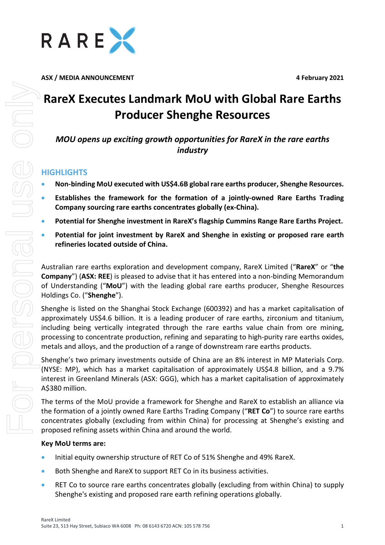

**ASX / MEDIA ANNOUNCEMENT 4 February 2021**

# **RareX Executes Landmark MoU with Global Rare Earths Producer Shenghe Resources**

*MOU opens up exciting growth opportunities for RareX in the rare earths industry*

# **HIGHLIGHTS**

- **Non-binding MoU executed with US\$4.6B global rare earths producer, Shenghe Resources.**
- **Establishes the framework for the formation of a jointly-owned Rare Earths Trading Company sourcing rare earths concentrates globally (ex-China).**
- **Potential for Shenghe investment in RareX's flagship Cummins Range Rare Earths Project.**
- **Potential for joint investment by RareX and Shenghe in existing or proposed rare earth refineries located outside of China.**

Australian rare earths exploration and development company, RareX Limited ("**RareX**" or "**the Company**") (**ASX: REE**) is pleased to advise that it has entered into a non-binding Memorandum of Understanding ("**MoU**") with the leading global rare earths producer, Shenghe Resources Holdings Co. ("**Shenghe**").

Shenghe is listed on the Shanghai Stock Exchange (600392) and has a market capitalisation of approximately US\$4.6 billion. It is a leading producer of rare earths, zirconium and titanium, including being vertically integrated through the rare earths value chain from ore mining, processing to concentrate production, refining and separating to high-purity rare earths oxides, metals and alloys, and the production of a range of downstream rare earths products.

Shenghe's two primary investments outside of China are an 8% interest in MP Materials Corp. (NYSE: MP), which has a market capitalisation of approximately US\$4.8 billion, and a 9.7% interest in Greenland Minerals (ASX: GGG), which has a market capitalisation of approximately A\$380 million.

The terms of the MoU provide a framework for Shenghe and RareX to establish an alliance via the formation of a jointly owned Rare Earths Trading Company ("**RET Co**") to source rare earths concentrates globally (excluding from within China) for processing at Shenghe's existing and proposed refining assets within China and around the world.

## **Key MoU terms are:**

- Initial equity ownership structure of RET Co of 51% Shenghe and 49% RareX.
- Both Shenghe and RareX to support RET Co in its business activities.
- RET Co to source rare earths concentrates globally (excluding from within China) to supply Shenghe's existing and proposed rare earth refining operations globally.